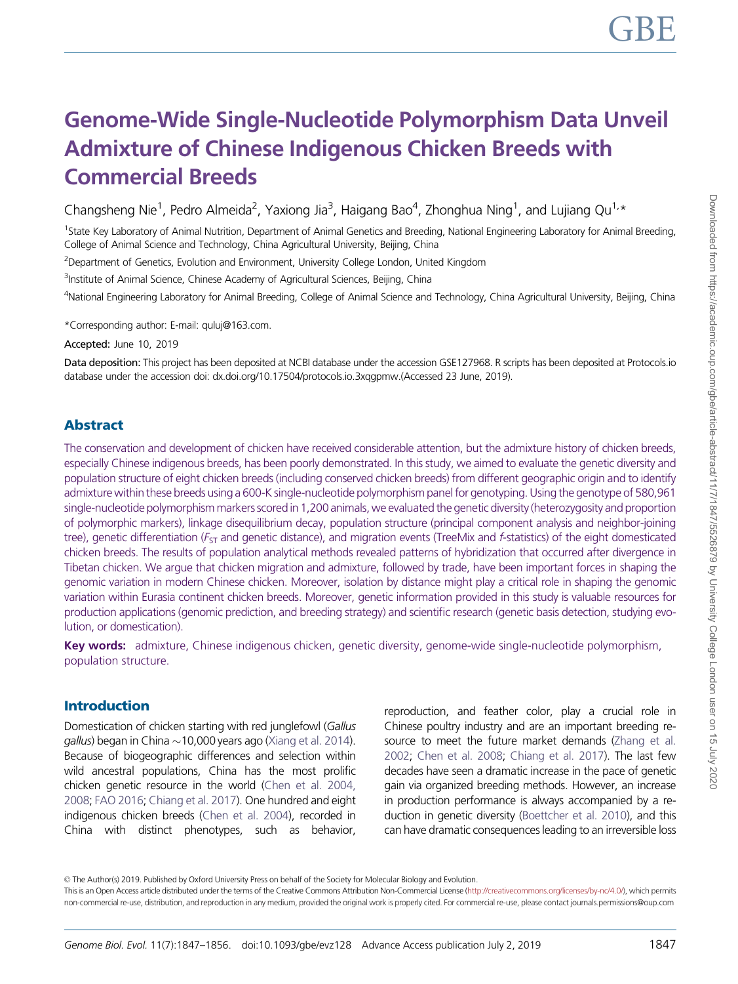# Genome-Wide Single-Nucleotide Polymorphism Data Unveil Admixture of Chinese Indigenous Chicken Breeds with Commercial Breeds

Changsheng Nie<sup>1</sup>, Pedro Almeida<sup>2</sup>, Yaxiong Jia<sup>3</sup>, Haigang Bao<sup>4</sup>, Zhonghua Ning<sup>1</sup>, and Lujiang Qu<sup>1,</sup>\*

<sup>1</sup>State Key Laboratory of Animal Nutrition, Department of Animal Genetics and Breeding, National Engineering Laboratory for Animal Breeding, College of Animal Science and Technology, China Agricultural University, Beijing, China

<sup>2</sup>Department of Genetics, Evolution and Environment, University College London, United Kingdom

<sup>3</sup>Institute of Animal Science, Chinese Academy of Agricultural Sciences, Beijing, China

4 National Engineering Laboratory for Animal Breeding, College of Animal Science and Technology, China Agricultural University, Beijing, China

\*Corresponding author: E-mail: quluj@163.com.

Accepted: June 10, 2019

Data deposition: This project has been deposited at NCBI database under the accession GSE127968. R scripts has been deposited at Protocols.io database under the accession doi: dx.doi.org/10.17504/protocols.io.3xqgpmw.(Accessed 23 June, 2019).

### Abstract

The conservation and development of chicken have received considerable attention, but the admixture history of chicken breeds, especially Chinese indigenous breeds, has been poorly demonstrated. In this study, we aimed to evaluate the genetic diversity and population structure of eight chicken breeds (including conserved chicken breeds) from different geographic origin and to identify admixture within these breeds using a 600-K single-nucleotide polymorphism panel for genotyping. Using the genotype of 580,961 single-nucleotide polymorphism markers scored in 1,200 animals, we evaluated the genetic diversity (heterozygosity and proportion of polymorphic markers), linkage disequilibrium decay, population structure (principal component analysis and neighbor-joining tree), genetic differentiation ( $F_{ST}$  and genetic distance), and migration events (TreeMix and f-statistics) of the eight domesticated chicken breeds. The results of population analytical methods revealed patterns of hybridization that occurred after divergence in Tibetan chicken. We argue that chicken migration and admixture, followed by trade, have been important forces in shaping the genomic variation in modern Chinese chicken. Moreover, isolation by distance might play a critical role in shaping the genomic variation within Eurasia continent chicken breeds. Moreover, genetic information provided in this study is valuable resources for production applications (genomic prediction, and breeding strategy) and scientific research (genetic basis detection, studying evolution, or domestication).

Key words: admixture, Chinese indigenous chicken, genetic diversity, genome-wide single-nucleotide polymorphism, population structure.

#### Introduction

Domestication of chicken starting with red junglefowl (Gallus *gallus*) began in China  $\sim$ 10,000 years ago ([Xiang et al. 2014](#page-9-0)). Because of biogeographic differences and selection within wild ancestral populations, China has the most prolific chicken genetic resource in the world ([Chen et al. 2004,](#page-9-0) [2008](#page-9-0); [FAO 2016;](#page-9-0) [Chiang et al. 2017\)](#page-9-0). One hundred and eight indigenous chicken breeds [\(Chen et al. 2004\)](#page-9-0), recorded in China with distinct phenotypes, such as behavior,

reproduction, and feather color, play a crucial role in Chinese poultry industry and are an important breeding resource to meet the future market demands [\(Zhang et al.](#page-9-0) [2002;](#page-9-0) [Chen et al. 2008;](#page-9-0) [Chiang et al. 2017\)](#page-9-0). The last few decades have seen a dramatic increase in the pace of genetic gain via organized breeding methods. However, an increase in production performance is always accompanied by a reduction in genetic diversity ([Boettcher et al. 2010\)](#page-9-0), and this can have dramatic consequences leading to an irreversible loss

© The Author(s) 2019. Published by Oxford University Press on behalf of the Society for Molecular Biology and Evolution.

This is an Open Access article distributed under the terms of the Creative Commons Attribution Non-Commercial License [\(http://creativecommons.org/licenses/by-nc/4.0/\)](Undefined namespace prefix
xmlXPathCompOpEval: parameter error
xmlXPathEval: evaluation failed
), which permits non-commercial re-use, distribution, and reproduction in any medium, provided the original work is properly cited. For commercial re-use, please contact journals.permissions@oup.com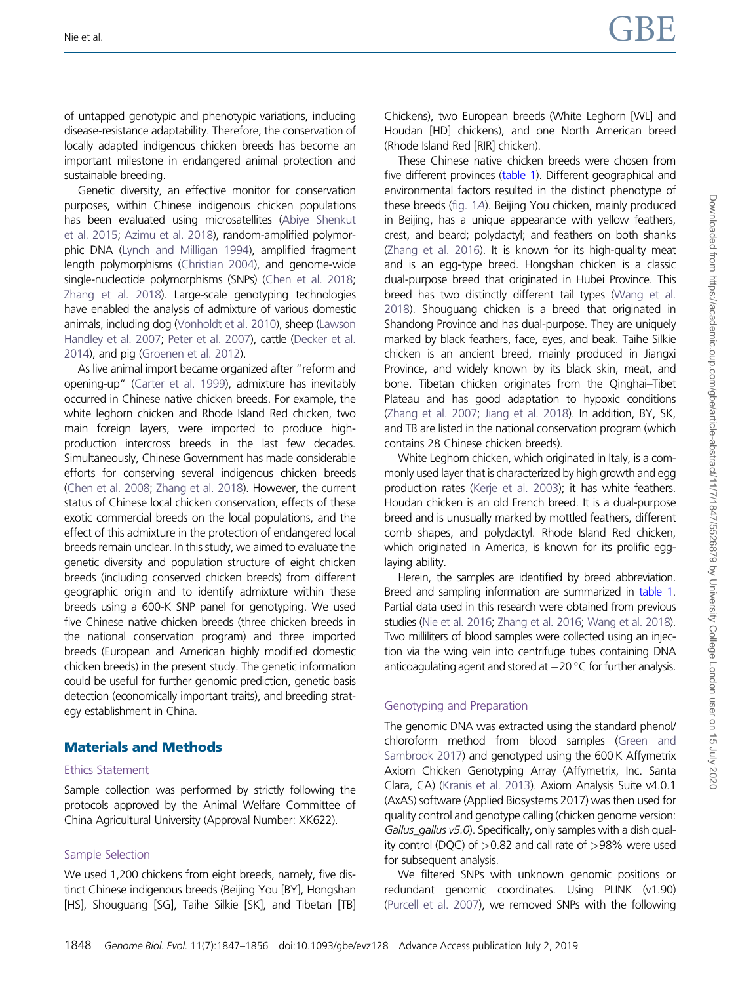of untapped genotypic and phenotypic variations, including disease-resistance adaptability. Therefore, the conservation of locally adapted indigenous chicken breeds has become an important milestone in endangered animal protection and sustainable breeding.

Genetic diversity, an effective monitor for conservation purposes, within Chinese indigenous chicken populations has been evaluated using microsatellites [\(Abiye Shenkut](#page-9-0) [et al. 2015;](#page-9-0) [Azimu et al. 2018\)](#page-9-0), random-amplified polymorphic DNA ([Lynch and Milligan 1994\)](#page-9-0), amplified fragment length polymorphisms [\(Christian 2004\)](#page-9-0), and genome-wide single-nucleotide polymorphisms (SNPs) [\(Chen et al. 2018;](#page-9-0) [Zhang et al. 2018\)](#page-9-0). Large-scale genotyping technologies have enabled the analysis of admixture of various domestic animals, including dog [\(Vonholdt et al. 2010\)](#page-9-0), sheep [\(Lawson](#page-9-0) [Handley et al. 2007;](#page-9-0) [Peter et al. 2007](#page-9-0)), cattle [\(Decker et al.](#page-9-0) [2014](#page-9-0)), and pig ([Groenen et al. 2012\)](#page-9-0).

As live animal import became organized after "reform and opening-up" ([Carter et al. 1999\)](#page-9-0), admixture has inevitably occurred in Chinese native chicken breeds. For example, the white leghorn chicken and Rhode Island Red chicken, two main foreign layers, were imported to produce highproduction intercross breeds in the last few decades. Simultaneously, Chinese Government has made considerable efforts for conserving several indigenous chicken breeds [\(Chen et al. 2008;](#page-9-0) [Zhang et al. 2018](#page-9-0)). However, the current status of Chinese local chicken conservation, effects of these exotic commercial breeds on the local populations, and the effect of this admixture in the protection of endangered local breeds remain unclear. In this study, we aimed to evaluate the genetic diversity and population structure of eight chicken breeds (including conserved chicken breeds) from different geographic origin and to identify admixture within these breeds using a 600-K SNP panel for genotyping. We used five Chinese native chicken breeds (three chicken breeds in the national conservation program) and three imported breeds (European and American highly modified domestic chicken breeds) in the present study. The genetic information could be useful for further genomic prediction, genetic basis detection (economically important traits), and breeding strategy establishment in China.

### Materials and Methods

#### Ethics Statement

Sample collection was performed by strictly following the protocols approved by the Animal Welfare Committee of China Agricultural University (Approval Number: XK622).

#### Sample Selection

We used 1,200 chickens from eight breeds, namely, five distinct Chinese indigenous breeds (Beijing You [BY], Hongshan [HS], Shouguang [SG], Taihe Silkie [SK], and Tibetan [TB] Chickens), two European breeds (White Leghorn [WL] and Houdan [HD] chickens), and one North American breed (Rhode Island Red [RIR] chicken).

These Chinese native chicken breeds were chosen from five different provinces [\(table 1\)](#page-2-0). Different geographical and environmental factors resulted in the distinct phenotype of these breeds [\(fig. 1](#page-3-0)A). Beijing You chicken, mainly produced in Beijing, has a unique appearance with yellow feathers. crest, and beard; polydactyl; and feathers on both shanks [\(Zhang et al. 2016](#page-9-0)). It is known for its high-quality meat and is an egg-type breed. Hongshan chicken is a classic dual-purpose breed that originated in Hubei Province. This breed has two distinctly different tail types [\(Wang et al.](#page-9-0) [2018\)](#page-9-0). Shouguang chicken is a breed that originated in Shandong Province and has dual-purpose. They are uniquely marked by black feathers, face, eyes, and beak. Taihe Silkie chicken is an ancient breed, mainly produced in Jiangxi Province, and widely known by its black skin, meat, and bone. Tibetan chicken originates from the Qinghai–Tibet Plateau and has good adaptation to hypoxic conditions [\(Zhang et al. 2007](#page-9-0); [Jiang et al. 2018\)](#page-9-0). In addition, BY, SK, and TB are listed in the national conservation program (which contains 28 Chinese chicken breeds).

White Leghorn chicken, which originated in Italy, is a commonly used layer that is characterized by high growth and egg production rates [\(Kerje et al. 2003\)](#page-9-0); it has white feathers. Houdan chicken is an old French breed. It is a dual-purpose breed and is unusually marked by mottled feathers, different comb shapes, and polydactyl. Rhode Island Red chicken, which originated in America, is known for its prolific egglaying ability.

Herein, the samples are identified by breed abbreviation. Breed and sampling information are summarized in [table 1](#page-2-0). Partial data used in this research were obtained from previous studies [\(Nie et al. 2016;](#page-9-0) [Zhang et al. 2016](#page-9-0); [Wang et al. 2018\)](#page-9-0). Two milliliters of blood samples were collected using an injection via the wing vein into centrifuge tubes containing DNA anticoagulating agent and stored at  $-20$  °C for further analysis.

#### Genotyping and Preparation

The genomic DNA was extracted using the standard phenol/ chloroform method from blood samples [\(Green and](#page-9-0) [Sambrook 2017](#page-9-0)) and genotyped using the 600 K Affymetrix Axiom Chicken Genotyping Array (Affymetrix, Inc. Santa Clara, CA) [\(Kranis et al. 2013](#page-9-0)). Axiom Analysis Suite v4.0.1 (AxAS) software (Applied Biosystems 2017) was then used for quality control and genotype calling (chicken genome version: Gallus\_gallus v5.0). Specifically, only samples with a dish quality control (DQC) of >0.82 and call rate of >98% were used for subsequent analysis.

We filtered SNPs with unknown genomic positions or redundant genomic coordinates. Using PLINK (v1.90) [\(Purcell et al. 2007](#page-9-0)), we removed SNPs with the following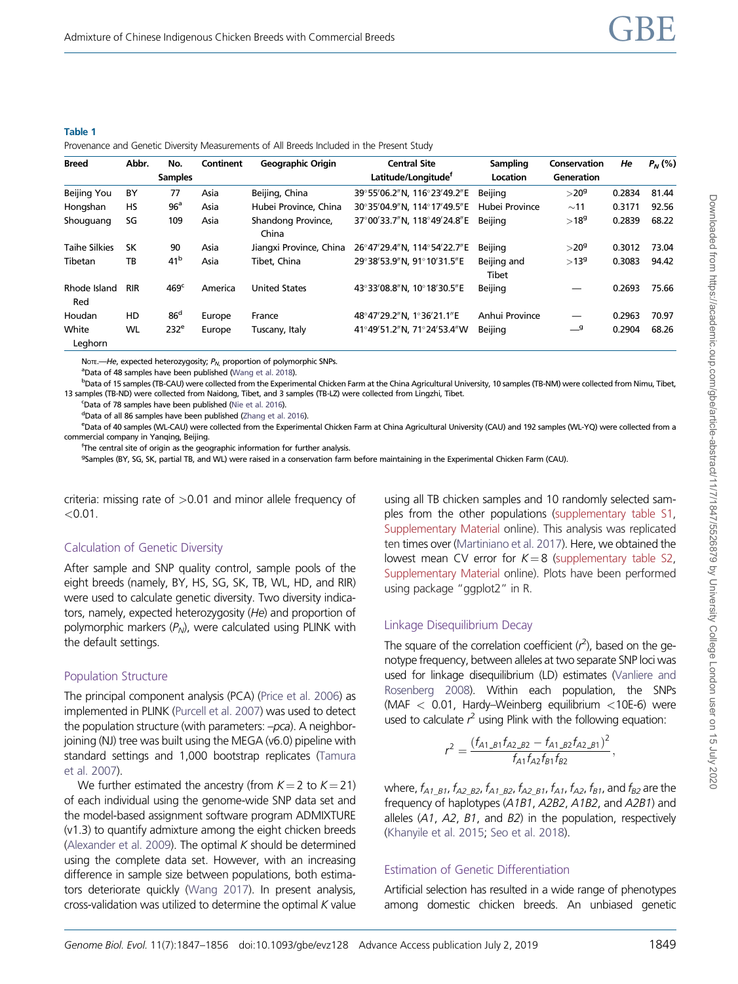<span id="page-2-0"></span>

|  | $\sim$ |  |
|--|--------|--|

|  | Provenance and Genetic Diversity Measurements of All Breeds Included in the Present Study |  |
|--|-------------------------------------------------------------------------------------------|--|
|  |                                                                                           |  |

| <b>Breed</b>         | Abbr.      | No.              | Continent | <b>Geographic Origin</b>    | <b>Central Site</b>             | Sampling             | Conservation                   | He     | $P_N(%)$ |
|----------------------|------------|------------------|-----------|-----------------------------|---------------------------------|----------------------|--------------------------------|--------|----------|
|                      |            | <b>Samples</b>   |           |                             | Latitude/Longitude <sup>†</sup> | Location             | Generation                     |        |          |
| Beijing You          | BY         | 77               | Asia      | Beijing, China              | 39°55′06.2″N, 116°23′49.2″E     | Beijing              | $>$ 20 $9$                     | 0.2834 | 81.44    |
| Hongshan             | HS         | 96 <sup>a</sup>  | Asia      | Hubei Province, China       | 30°35′04.9″N. 114°17′49.5″E     | Hubei Province       | ~11                            | 0.3171 | 92.56    |
| Shouguang            | SG         | 109              | Asia      | Shandong Province,<br>China | 37°00'33.7"N. 118°49'24.8"E     | Beiiina              | $>18^{9}$                      | 0.2839 | 68.22    |
| <b>Taihe Silkies</b> | SK         | 90               | Asia      | Jiangxi Province, China     | 26°47'29.4"N, 114°54'22.7"E     | Beijing              | $>$ 20 $9$                     | 0.3012 | 73.04    |
| Tibetan              | TB         | 41 <sup>b</sup>  | Asia      | Tibet, China                | 29°38'53.9"N. 91°10'31.5"E      | Beijing and<br>Tibet | $>13^9$                        | 0.3083 | 94.42    |
| Rhode Island<br>Red  | <b>RIR</b> | 469 <sup>c</sup> | America   | <b>United States</b>        | 43°33'08.8"N, 10°18'30.5"E      | Beijing              |                                | 0.2693 | 75.66    |
| Houdan               | HD         | 86 <sup>d</sup>  | Europe    | France                      | 48°47'29.2"N, 1°36'21.1"E       | Anhui Province       | $\overbrace{\phantom{123321}}$ | 0.2963 | 70.97    |
| White<br>Leghorn     | WL         | 232 <sup>e</sup> | Europe    | Tuscany, Italy              | 41°49′51.2″N, 71°24′53.4″W      | Beijing              | $-9$                           | 0.2904 | 68.26    |

NOTE.—He, expected heterozygosity;  $P_{N}$ , proportion of polymorphic SNPs.

<sup>a</sup>Data of 48 samples have been published [\(Wang et al. 2018](#page-9-0)).

bData of 15 samples (TB-CAU) were collected from the Experimental Chicken Farm at the China Agricultural University, 10 samples (TB-NM) were collected from Nimu, Tibet, 13 samples (TB-ND) were collected from Naidong, Tibet, and 3 samples (TB-LZ) were collected from Lingzhi, Tibet.

<sup>c</sup>Data of 78 samples have been published [\(Nie et al. 2016\)](#page-9-0).

dData of all 86 samples have been published [\(Zhang et al. 2016\)](#page-9-0).

e Data of 40 samples (WL-CAU) were collected from the Experimental Chicken Farm at China Agricultural University (CAU) and 192 samples (WL-YQ) were collected from a commercial company in Yanging, Beijing.

f The central site of origin as the geographic information for further analysis.

9Samples (BY, SG, SK, partial TB, and WL) were raised in a conservation farm before maintaining in the Experimental Chicken Farm (CAU).

criteria: missing rate of  $>0.01$  and minor allele frequency of  $< 0.01$ .

#### Calculation of Genetic Diversity

After sample and SNP quality control, sample pools of the eight breeds (namely, BY, HS, SG, SK, TB, WL, HD, and RIR) were used to calculate genetic diversity. Two diversity indicators, namely, expected heterozygosity (He) and proportion of polymorphic markers  $(P_N)$ , were calculated using PLINK with the default settings.

#### Population Structure

The principal component analysis (PCA) ([Price et al. 2006\)](#page-9-0) as implemented in PLINK [\(Purcell et al. 2007\)](#page-9-0) was used to detect the population structure (with parameters: -pca). A neighborjoining (NJ) tree was built using the MEGA (v6.0) pipeline with standard settings and 1,000 bootstrap replicates [\(Tamura](#page-9-0) [et al. 2007](#page-9-0)).

We further estimated the ancestry (from  $K = 2$  to  $K = 21$ ) of each individual using the genome-wide SNP data set and the model-based assignment software program ADMIXTURE (v1.3) to quantify admixture among the eight chicken breeds [\(Alexander et al. 2009\)](#page-9-0). The optimal  $K$  should be determined using the complete data set. However, with an increasing difference in sample size between populations, both estimators deteriorate quickly [\(Wang 2017\)](#page-9-0). In present analysis, cross-validation was utilized to determine the optimal  $K$  value using all TB chicken samples and 10 randomly selected samples from the other populations [\(supplementary table S1](https://academic.oup.com/gbe/article-lookup/doi/10.1093/gbe/evz128#supplementary-data), [Supplementary Material](https://academic.oup.com/gbe/article-lookup/doi/10.1093/gbe/evz128#supplementary-data) online). This analysis was replicated ten times over ([Martiniano et al. 2017\)](#page-9-0). Here, we obtained the lowest mean CV error for  $K = 8$  [\(supplementary table S2](https://academic.oup.com/gbe/article-lookup/doi/10.1093/gbe/evz128#supplementary-data), [Supplementary Material](https://academic.oup.com/gbe/article-lookup/doi/10.1093/gbe/evz128#supplementary-data) online). Plots have been performed using package "ggplot2" in R.

#### Linkage Disequilibrium Decay

The square of the correlation coefficient  $(r^2)$ , based on the genotype frequency, between alleles at two separate SNP loci was used for linkage disequilibrium (LD) estimates ([Vanliere and](#page-9-0) [Rosenberg 2008](#page-9-0)). Within each population, the SNPs (MAF  $<$  0.01, Hardy–Weinberg equilibrium  $<$ 10E-6) were used to calculate  $r^2$  using Plink with the following equation:

$$
r^{2} = \frac{(f_{A1,B1}f_{A2,B2} - f_{A1,B2}f_{A2,B1})^{2}}{f_{A1}f_{A2}f_{B1}f_{B2}},
$$

where,  $f_{A1_B1}$ ,  $f_{A2_B2}$ ,  $f_{A1_B2}$ ,  $f_{A2_B1}$ ,  $f_{A1}$ ,  $f_{A2}$ ,  $f_{B1}$ , and  $f_{B2}$  are the frequency of haplotypes (A1B1, A2B2, A1B2, and A2B1) and alleles  $(A1, A2, B1,$  and  $B2)$  in the population, respectively [\(Khanyile et al. 2015;](#page-9-0) [Seo et al. 2018](#page-9-0)).

#### Estimation of Genetic Differentiation

Artificial selection has resulted in a wide range of phenotypes among domestic chicken breeds. An unbiased genetic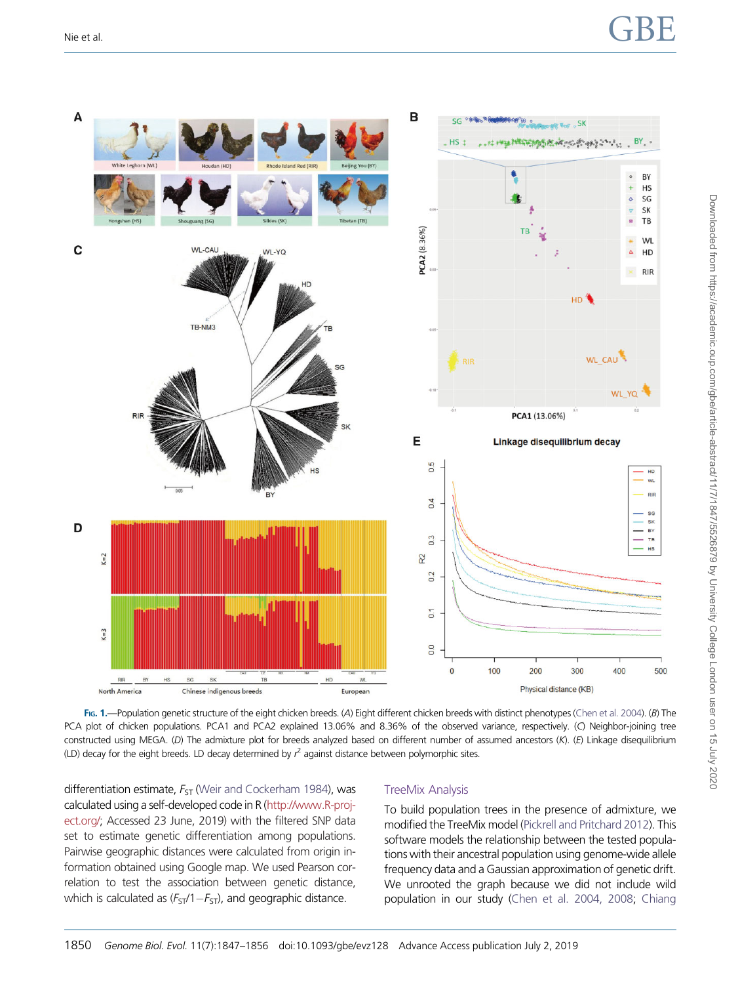# <span id="page-3-0"></span>Nie et al.  $\begin{array}{ccc} \textsf{GBE} \end{array}$



FIG. 1.—Population genetic structure of the eight chicken breeds. (A) Eight different chicken breeds with distinct phenotypes ([Chen et al. 2004\)](#page-9-0). (B) The PCA plot of chicken populations. PCA1 and PCA2 explained 13.06% and 8.36% of the observed variance, respectively. (C) Neighbor-joining tree constructed using MEGA. (D) The admixture plot for breeds analyzed based on different number of assumed ancestors (K). (E) Linkage disequilibrium (LD) decay for the eight breeds. LD decay determined by  $r^2$  against distance between polymorphic sites.

differentiation estimate,  $F_{ST}$  [\(Weir and Cockerham 1984\)](#page-9-0), was calculated using a self-developed code in R [\(http://www.R-proj](http://www.R-project.org/)[ect.org/](http://www.R-project.org/); Accessed 23 June, 2019) with the filtered SNP data set to estimate genetic differentiation among populations. Pairwise geographic distances were calculated from origin information obtained using Google map. We used Pearson correlation to test the association between genetic distance, which is calculated as  $(F_{ST}/1-F_{ST})$ , and geographic distance.

#### TreeMix Analysis

To build population trees in the presence of admixture, we modified the TreeMix model ([Pickrell and Pritchard 2012\)](#page-9-0). This software models the relationship between the tested populations with their ancestral population using genome-wide allele frequency data and a Gaussian approximation of genetic drift. We unrooted the graph because we did not include wild population in our study [\(Chen et al. 2004, 2008](#page-9-0); [Chiang](#page-9-0)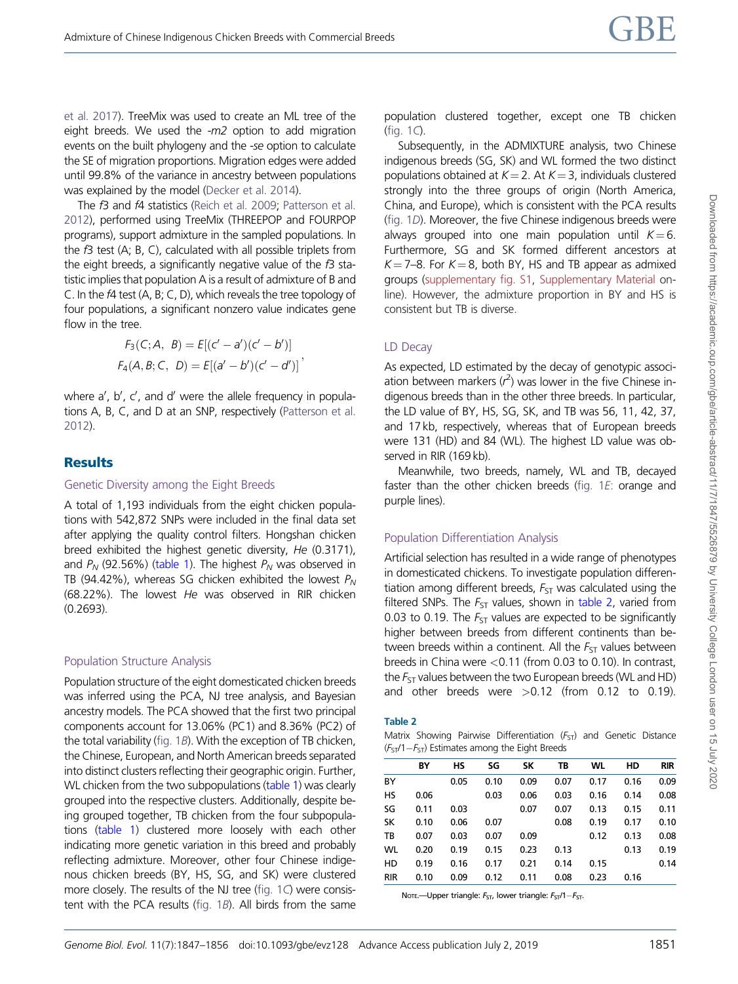[et al. 2017](#page-9-0)). TreeMix was used to create an ML tree of the eight breeds. We used the  $-m2$  option to add migration events on the built phylogeny and the -se option to calculate the SE of migration proportions. Migration edges were added until 99.8% of the variance in ancestry between populations was explained by the model [\(Decker et al. 2014](#page-9-0)).

The f3 and f4 statistics ([Reich et al. 2009](#page-9-0); [Patterson et al.](#page-9-0) [2012](#page-9-0)), performed using TreeMix (THREEPOP and FOURPOP programs), support admixture in the sampled populations. In the f3 test (A; B, C), calculated with all possible triplets from the eight breeds, a significantly negative value of the  $f_3$  statistic implies that population A is a result of admixture of B and C. In the f4 test (A, B; C, D), which reveals the tree topology of four populations, a significant nonzero value indicates gene flow in the tree.

$$
F_3(C; A, B) = E[(c' - a')(c' - b')]
$$
  

$$
F_4(A, B; C, D) = E[(a' - b')(c' - d')]'
$$

where a', b', c', and d' were the allele frequency in populations A, B, C, and D at an SNP, respectively [\(Patterson et al.](#page-9-0) [2012](#page-9-0)).

### **Results**

#### Genetic Diversity among the Eight Breeds

A total of 1,193 individuals from the eight chicken populations with 542,872 SNPs were included in the final data set after applying the quality control filters. Hongshan chicken breed exhibited the highest genetic diversity, He (0.3171), and  $P_N$  (92.56%) [\(table 1](#page-2-0)). The highest  $P_N$  was observed in TB (94.42%), whereas SG chicken exhibited the lowest  $P_N$ (68.22%). The lowest He was observed in RIR chicken (0.2693).

#### Population Structure Analysis

Population structure of the eight domesticated chicken breeds was inferred using the PCA, NJ tree analysis, and Bayesian ancestry models. The PCA showed that the first two principal components account for 13.06% (PC1) and 8.36% (PC2) of the total variability ([fig. 1](#page-3-0)B). With the exception of TB chicken, the Chinese, European, and North American breeds separated into distinct clusters reflecting their geographic origin. Further, WL chicken from the two subpopulations [\(table 1](#page-2-0)) was clearly grouped into the respective clusters. Additionally, despite being grouped together, TB chicken from the four subpopulations [\(table 1\)](#page-2-0) clustered more loosely with each other indicating more genetic variation in this breed and probably reflecting admixture. Moreover, other four Chinese indigenous chicken breeds (BY, HS, SG, and SK) were clustered more closely. The results of the NJ tree [\(fig. 1](#page-3-0)C) were consistent with the PCA results [\(fig. 1](#page-3-0)B). All birds from the same population clustered together, except one TB chicken [\(fig. 1](#page-3-0)C).

Subsequently, in the ADMIXTURE analysis, two Chinese indigenous breeds (SG, SK) and WL formed the two distinct populations obtained at  $K = 2$ . At  $K = 3$ , individuals clustered strongly into the three groups of origin (North America, China, and Europe), which is consistent with the PCA results [\(fig. 1](#page-3-0)D). Moreover, the five Chinese indigenous breeds were always grouped into one main population until  $K=6$ . Furthermore, SG and SK formed different ancestors at  $K = 7-8$ . For  $K = 8$ , both BY, HS and TB appear as admixed groups [\(supplementary fig. S1,](https://academic.oup.com/gbe/article-lookup/doi/10.1093/gbe/evz128#supplementary-data) [Supplementary Material](https://academic.oup.com/gbe/article-lookup/doi/10.1093/gbe/evz128#supplementary-data) online). However, the admixture proportion in BY and HS is consistent but TB is diverse.

#### LD Decay

As expected, LD estimated by the decay of genotypic association between markers  $(r^2)$  was lower in the five Chinese indigenous breeds than in the other three breeds. In particular, the LD value of BY, HS, SG, SK, and TB was 56, 11, 42, 37, and 17 kb, respectively, whereas that of European breeds were 131 (HD) and 84 (WL). The highest LD value was observed in RIR (169 kb).

Meanwhile, two breeds, namely, WL and TB, decayed faster than the other chicken breeds [\(fig. 1](#page-3-0)E: orange and purple lines).

### Population Differentiation Analysis

Artificial selection has resulted in a wide range of phenotypes in domesticated chickens. To investigate population differentiation among different breeds,  $F_{ST}$  was calculated using the filtered SNPs. The  $F_{ST}$  values, shown in table 2, varied from 0.03 to 0.19. The  $F_{ST}$  values are expected to be significantly higher between breeds from different continents than between breeds within a continent. All the  $F_{ST}$  values between breeds in China were <0.11 (from 0.03 to 0.10). In contrast, the  $F_{ST}$  values between the two European breeds (WL and HD) and other breeds were  $>0.12$  (from 0.12 to 0.19).

#### Table 2

Matrix Showing Pairwise Differentiation ( $F<sub>ST</sub>$ ) and Genetic Distance  $(F_{ST}/1-F_{ST})$  Estimates among the Eight Breeds

|            | ΒY   | нs   | SG   | <b>SK</b> | ТB   | WL   | HD   | <b>RIR</b> |
|------------|------|------|------|-----------|------|------|------|------------|
| BY         |      | 0.05 | 0.10 | 0.09      | 0.07 | 0.17 | 0.16 | 0.09       |
| HS         | 0.06 |      | 0.03 | 0.06      | 0.03 | 0.16 | 0.14 | 0.08       |
| SG         | 0.11 | 0.03 |      | 0.07      | 0.07 | 0.13 | 0.15 | 0.11       |
| SK         | 0.10 | 0.06 | 0.07 |           | 0.08 | 0.19 | 0.17 | 0.10       |
| TB         | 0.07 | 0.03 | 0.07 | 0.09      |      | 0.12 | 0.13 | 0.08       |
| <b>WL</b>  | 0.20 | 0.19 | 0.15 | 0.23      | 0.13 |      | 0.13 | 0.19       |
| HD         | 0.19 | 0.16 | 0.17 | 0.21      | 0.14 | 0.15 |      | 0.14       |
| <b>RIR</b> | 0.10 | 0.09 | 0.12 | 0.11      | 0.08 | 0.23 | 0.16 |            |

NOTE.—Upper triangle:  $F_{ST}$ , lower triangle:  $F_{ST}/1-F_{ST}$ .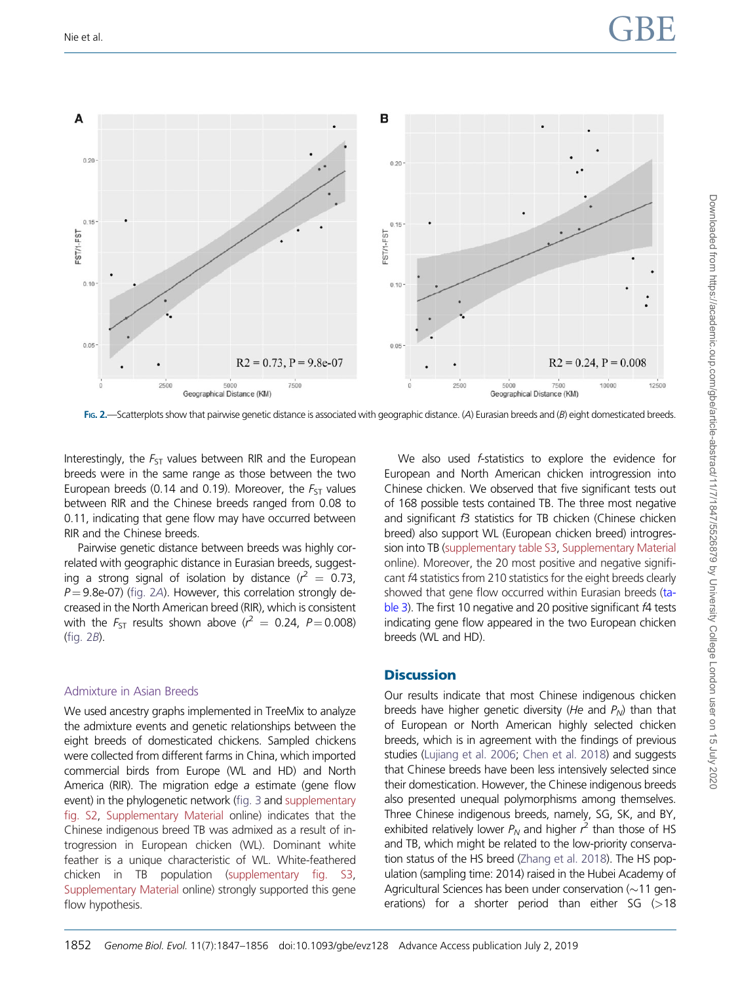

FIG. 2.—Scatterplots show that pairwise genetic distance is associated with geographic distance. (A) Eurasian breeds and (B) eight domesticated breeds.

Interestingly, the  $F_{ST}$  values between RIR and the European breeds were in the same range as those between the two European breeds (0.14 and 0.19). Moreover, the  $F_{ST}$  values between RIR and the Chinese breeds ranged from 0.08 to 0.11, indicating that gene flow may have occurred between RIR and the Chinese breeds.

Pairwise genetic distance between breeds was highly correlated with geographic distance in Eurasian breeds, suggesting a strong signal of isolation by distance ( $r^2 = 0.73$ ,  $P = 9.8$ e-07) (fig. 2A). However, this correlation strongly decreased in the North American breed (RIR), which is consistent with the  $F_{ST}$  results shown above ( $r^2 = 0.24$ ,  $P = 0.008$ ) (fig. 2B).

#### Admixture in Asian Breeds

We used ancestry graphs implemented in TreeMix to analyze the admixture events and genetic relationships between the eight breeds of domesticated chickens. Sampled chickens were collected from different farms in China, which imported commercial birds from Europe (WL and HD) and North America (RIR). The migration edge a estimate (gene flow event) in the phylogenetic network [\(fig. 3](#page-6-0) and [supplementary](https://academic.oup.com/gbe/article-lookup/doi/10.1093/gbe/evz128#supplementary-data) [fig. S2,](https://academic.oup.com/gbe/article-lookup/doi/10.1093/gbe/evz128#supplementary-data) [Supplementary Material](https://academic.oup.com/gbe/article-lookup/doi/10.1093/gbe/evz128#supplementary-data) online) indicates that the Chinese indigenous breed TB was admixed as a result of introgression in European chicken (WL). Dominant white feather is a unique characteristic of WL. White-feathered chicken in TB population [\(supplementary fig. S3,](https://academic.oup.com/gbe/article-lookup/doi/10.1093/gbe/evz128#supplementary-data) [Supplementary Material](https://academic.oup.com/gbe/article-lookup/doi/10.1093/gbe/evz128#supplementary-data) online) strongly supported this gene flow hypothesis.

We also used *f*-statistics to explore the evidence for European and North American chicken introgression into Chinese chicken. We observed that five significant tests out of 168 possible tests contained TB. The three most negative and significant f3 statistics for TB chicken (Chinese chicken breed) also support WL (European chicken breed) introgression into TB [\(supplementary table S3](https://academic.oup.com/gbe/article-lookup/doi/10.1093/gbe/evz128#supplementary-data), [Supplementary Material](https://academic.oup.com/gbe/article-lookup/doi/10.1093/gbe/evz128#supplementary-data) online). Moreover, the 20 most positive and negative significant f4 statistics from 210 statistics for the eight breeds clearly showed that gene flow occurred within Eurasian breeds [\(ta](#page-7-0)[ble 3](#page-7-0)). The first 10 negative and 20 positive significant f4 tests indicating gene flow appeared in the two European chicken breeds (WL and HD).

#### **Discussion**

Our results indicate that most Chinese indigenous chicken breeds have higher genetic diversity (He and  $P_N$ ) than that of European or North American highly selected chicken breeds, which is in agreement with the findings of previous studies [\(Lujiang et al. 2006](#page-9-0); [Chen et al. 2018](#page-9-0)) and suggests that Chinese breeds have been less intensively selected since their domestication. However, the Chinese indigenous breeds also presented unequal polymorphisms among themselves. Three Chinese indigenous breeds, namely, SG, SK, and BY, exhibited relatively lower  $P_N$  and higher  $r^2$  than those of HS and TB, which might be related to the low-priority conservation status of the HS breed [\(Zhang et al. 2018\)](#page-9-0). The HS population (sampling time: 2014) raised in the Hubei Academy of Agricultural Sciences has been under conservation  $(\sim 11$  generations) for a shorter period than either  $SG$  ( $>18$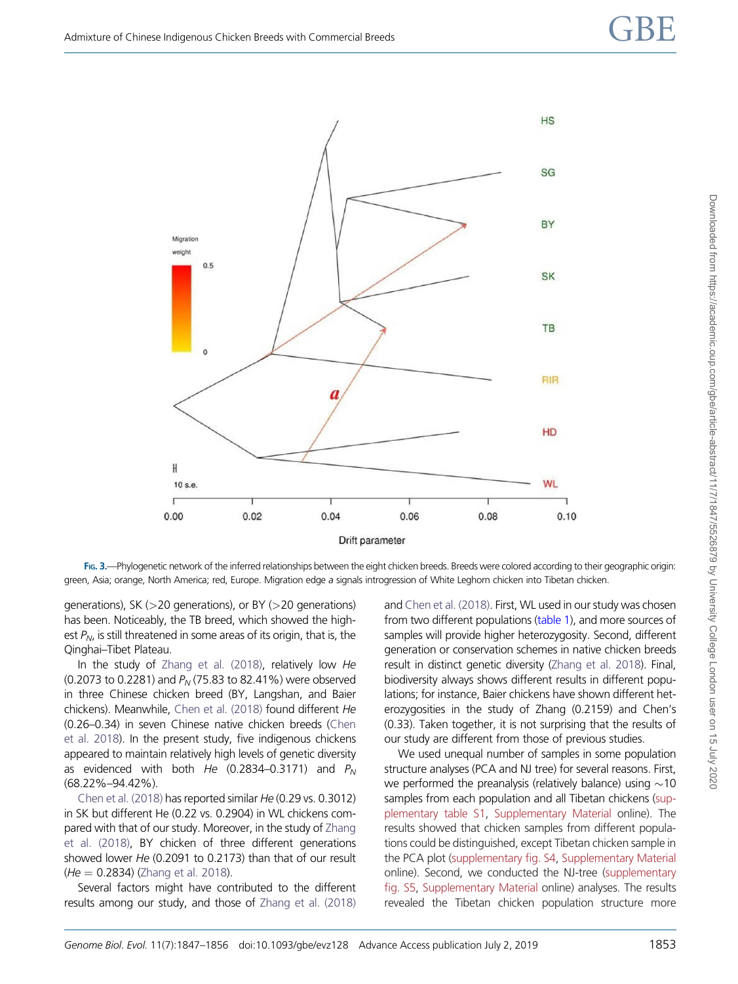<span id="page-6-0"></span>

FIG. 3.—Phylogenetic network of the inferred relationships between the eight chicken breeds. Breeds were colored according to their geographic origin: green, Asia; orange, North America; red, Europe. Migration edge a signals introgression of White Leghorn chicken into Tibetan chicken.

generations), SK (>20 generations), or BY (>20 generations) has been. Noticeably, the TB breed, which showed the highest  $P_N$ , is still threatened in some areas of its origin, that is, the Qinghai–Tibet Plateau.

In the study of [Zhang et al. \(2018\),](#page-9-0) relatively low He (0.2073 to 0.2281) and  $P_N$  (75.83 to 82.41%) were observed in three Chinese chicken breed (BY, Langshan, and Baier chickens). Meanwhile, [Chen et al. \(2018\)](#page-9-0) found different He (0.26–0.34) in seven Chinese native chicken breeds [\(Chen](#page-9-0) [et al. 2018](#page-9-0)). In the present study, five indigenous chickens appeared to maintain relatively high levels of genetic diversity as evidenced with both He (0.2834–0.3171) and  $P_N$ (68.22%–94.42%).

[Chen et al. \(2018\)](#page-9-0) has reported similar He (0.29 vs. 0.3012) in SK but different He (0.22 vs. 0.2904) in WL chickens compared with that of our study. Moreover, in the study of [Zhang](#page-9-0) [et al. \(2018\),](#page-9-0) BY chicken of three different generations showed lower He (0.2091 to 0.2173) than that of our result  $(He = 0.2834)$  ([Zhang et al. 2018](#page-9-0)).

Several factors might have contributed to the different results among our study, and those of [Zhang et al. \(2018\)](#page-9-0) and [Chen et al. \(2018\)](#page-9-0). First, WL used in our study was chosen from two different populations [\(table 1](#page-2-0)), and more sources of samples will provide higher heterozygosity. Second, different generation or conservation schemes in native chicken breeds result in distinct genetic diversity [\(Zhang et al. 2018](#page-9-0)). Final, biodiversity always shows different results in different populations; for instance, Baier chickens have shown different heterozygosities in the study of Zhang (0.2159) and Chen's (0.33). Taken together, it is not surprising that the results of our study are different from those of previous studies.

We used unequal number of samples in some population structure analyses (PCA and NJ tree) for several reasons. First, we performed the preanalysis (relatively balance) using  $\sim$ 10 samples from each population and all Tibetan chickens [\(sup](https://academic.oup.com/gbe/article-lookup/doi/10.1093/gbe/evz128#supplementary-data)[plementary table S1,](https://academic.oup.com/gbe/article-lookup/doi/10.1093/gbe/evz128#supplementary-data) [Supplementary Material](https://academic.oup.com/gbe/article-lookup/doi/10.1093/gbe/evz128#supplementary-data) online). The results showed that chicken samples from different populations could be distinguished, except Tibetan chicken sample in the PCA plot ([supplementary fig. S4,](https://academic.oup.com/gbe/article-lookup/doi/10.1093/gbe/evz128#supplementary-data) [Supplementary Material](https://academic.oup.com/gbe/article-lookup/doi/10.1093/gbe/evz128#supplementary-data) online). Second, we conducted the NJ-tree ([supplementary](https://academic.oup.com/gbe/article-lookup/doi/10.1093/gbe/evz128#supplementary-data) [fig. S5,](https://academic.oup.com/gbe/article-lookup/doi/10.1093/gbe/evz128#supplementary-data) [Supplementary Material](https://academic.oup.com/gbe/article-lookup/doi/10.1093/gbe/evz128#supplementary-data) online) analyses. The results revealed the Tibetan chicken population structure more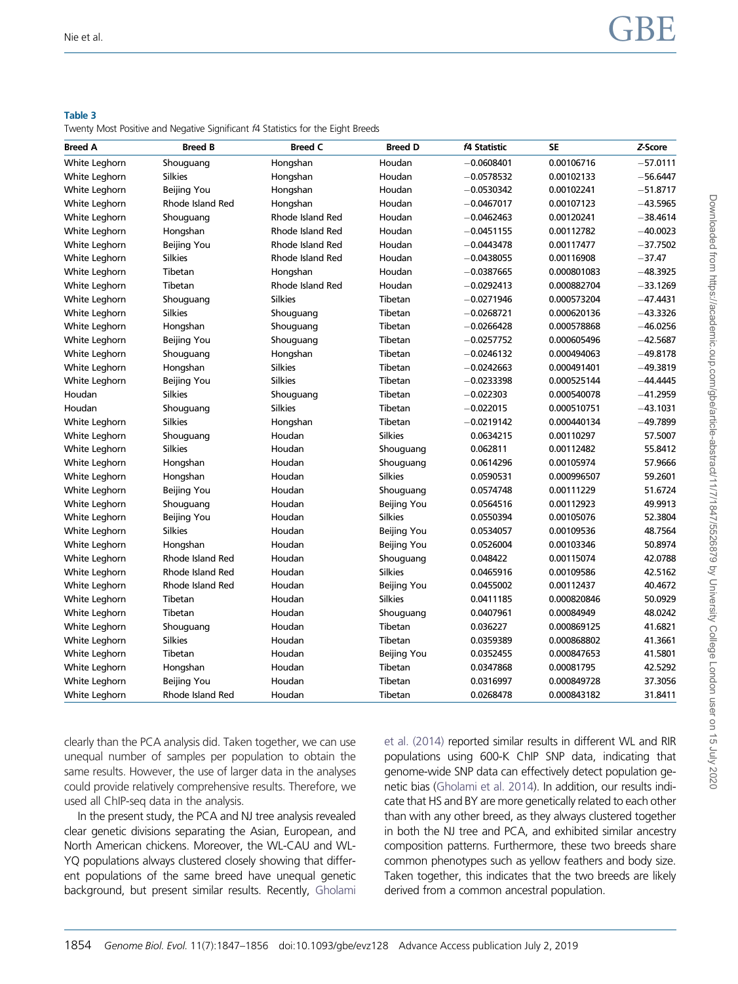#### <span id="page-7-0"></span>Table 3

#### Twenty Most Positive and Negative Significant f4 Statistics for the Eight Breeds

| <b>Breed A</b> | <b>Breed B</b>     | <b>Breed C</b>   | <b>Breed D</b> | f4 Statistic | <b>SE</b>   | Z-Score    |
|----------------|--------------------|------------------|----------------|--------------|-------------|------------|
| White Leghorn  | Shouguang          | Hongshan         | Houdan         | $-0.0608401$ | 0.00106716  | $-57.0111$ |
| White Leghorn  | <b>Silkies</b>     | Hongshan         | Houdan         | $-0.0578532$ | 0.00102133  | $-56.6447$ |
| White Leghorn  | Beijing You        | Hongshan         | Houdan         | $-0.0530342$ | 0.00102241  | $-51.8717$ |
| White Leghorn  | Rhode Island Red   | Hongshan         | Houdan         | $-0.0467017$ | 0.00107123  | $-43.5965$ |
| White Leghorn  | Shouguang          | Rhode Island Red | Houdan         | $-0.0462463$ | 0.00120241  | $-38.4614$ |
| White Leghorn  | Hongshan           | Rhode Island Red | Houdan         | $-0.0451155$ | 0.00112782  | $-40.0023$ |
| White Leghorn  | Beijing You        | Rhode Island Red | Houdan         | $-0.0443478$ | 0.00117477  | $-37.7502$ |
| White Leghorn  | <b>Silkies</b>     | Rhode Island Red | Houdan         | $-0.0438055$ | 0.00116908  | $-37.47$   |
| White Leghorn  | Tibetan            | Hongshan         | Houdan         | $-0.0387665$ | 0.000801083 | $-48.3925$ |
| White Leghorn  | Tibetan            | Rhode Island Red | Houdan         | $-0.0292413$ | 0.000882704 | $-33.1269$ |
| White Leghorn  | Shouguang          | <b>Silkies</b>   | Tibetan        | $-0.0271946$ | 0.000573204 | $-47.4431$ |
| White Leghorn  | <b>Silkies</b>     | Shouguang        | Tibetan        | $-0.0268721$ | 0.000620136 | $-43.3326$ |
| White Leghorn  | Hongshan           | Shouguang        | Tibetan        | $-0.0266428$ | 0.000578868 | $-46.0256$ |
| White Leghorn  | Beijing You        | Shouguang        | Tibetan        | $-0.0257752$ | 0.000605496 | $-42.5687$ |
| White Leghorn  | Shouguang          | Hongshan         | Tibetan        | $-0.0246132$ | 0.000494063 | $-49.8178$ |
| White Leghorn  | Hongshan           | <b>Silkies</b>   | Tibetan        | $-0.0242663$ | 0.000491401 | $-49.3819$ |
| White Leghorn  | Beijing You        | <b>Silkies</b>   | Tibetan        | $-0.0233398$ | 0.000525144 | $-44.4445$ |
| Houdan         | <b>Silkies</b>     | Shouguang        | Tibetan        | $-0.022303$  | 0.000540078 | $-41.2959$ |
| Houdan         | Shouguang          | <b>Silkies</b>   | Tibetan        | $-0.022015$  | 0.000510751 | $-43.1031$ |
| White Leghorn  | <b>Silkies</b>     | Hongshan         | Tibetan        | $-0.0219142$ | 0.000440134 | $-49.7899$ |
| White Leghorn  | Shouguang          | Houdan           | <b>Silkies</b> | 0.0634215    | 0.00110297  | 57.5007    |
| White Leghorn  | <b>Silkies</b>     | Houdan           | Shouguang      | 0.062811     | 0.00112482  | 55.8412    |
| White Leghorn  | Hongshan           | Houdan           | Shouguang      | 0.0614296    | 0.00105974  | 57.9666    |
| White Leghorn  | Hongshan           | Houdan           | <b>Silkies</b> | 0.0590531    | 0.000996507 | 59.2601    |
| White Leghorn  | <b>Beijing You</b> | Houdan           | Shouguang      | 0.0574748    | 0.00111229  | 51.6724    |
| White Leghorn  | Shouguang          | Houdan           | Beijing You    | 0.0564516    | 0.00112923  | 49.9913    |
| White Leghorn  | Beijing You        | Houdan           | Silkies        | 0.0550394    | 0.00105076  | 52.3804    |
| White Leghorn  | <b>Silkies</b>     | Houdan           | Beijing You    | 0.0534057    | 0.00109536  | 48.7564    |
| White Leghorn  | Hongshan           | Houdan           | Beijing You    | 0.0526004    | 0.00103346  | 50.8974    |
| White Leghorn  | Rhode Island Red   | Houdan           | Shouguang      | 0.048422     | 0.00115074  | 42.0788    |
| White Leghorn  | Rhode Island Red   | Houdan           | <b>Silkies</b> | 0.0465916    | 0.00109586  | 42.5162    |
| White Leghorn  | Rhode Island Red   | Houdan           | Beijing You    | 0.0455002    | 0.00112437  | 40.4672    |
| White Leghorn  | Tibetan            | Houdan           | <b>Silkies</b> | 0.0411185    | 0.000820846 | 50.0929    |
| White Leghorn  | Tibetan            | Houdan           | Shouguang      | 0.0407961    | 0.00084949  | 48.0242    |
| White Leghorn  | Shouguang          | Houdan           | Tibetan        | 0.036227     | 0.000869125 | 41.6821    |
| White Leghorn  | <b>Silkies</b>     | Houdan           | Tibetan        | 0.0359389    | 0.000868802 | 41.3661    |
| White Leghorn  | Tibetan            | Houdan           | Beijing You    | 0.0352455    | 0.000847653 | 41.5801    |
| White Leghorn  | Hongshan           | Houdan           | Tibetan        | 0.0347868    | 0.00081795  | 42.5292    |
| White Leghorn  | Beijing You        | Houdan           | Tibetan        | 0.0316997    | 0.000849728 | 37.3056    |
| White Leghorn  | Rhode Island Red   | Houdan           | Tibetan        | 0.0268478    | 0.000843182 | 31.8411    |

clearly than the PCA analysis did. Taken together, we can use unequal number of samples per population to obtain the same results. However, the use of larger data in the analyses could provide relatively comprehensive results. Therefore, we used all ChIP-seq data in the analysis.

In the present study, the PCA and NJ tree analysis revealed clear genetic divisions separating the Asian, European, and North American chickens. Moreover, the WL-CAU and WL-YQ populations always clustered closely showing that different populations of the same breed have unequal genetic background, but present similar results. Recently, [Gholami](#page-9-0) [et al. \(2014\)](#page-9-0) reported similar results in different WL and RIR populations using 600-K ChIP SNP data, indicating that genome-wide SNP data can effectively detect population genetic bias [\(Gholami et al. 2014\)](#page-9-0). In addition, our results indicate that HS and BY are more genetically related to each other than with any other breed, as they always clustered together in both the NJ tree and PCA, and exhibited similar ancestry composition patterns. Furthermore, these two breeds share common phenotypes such as yellow feathers and body size. Taken together, this indicates that the two breeds are likely derived from a common ancestral population.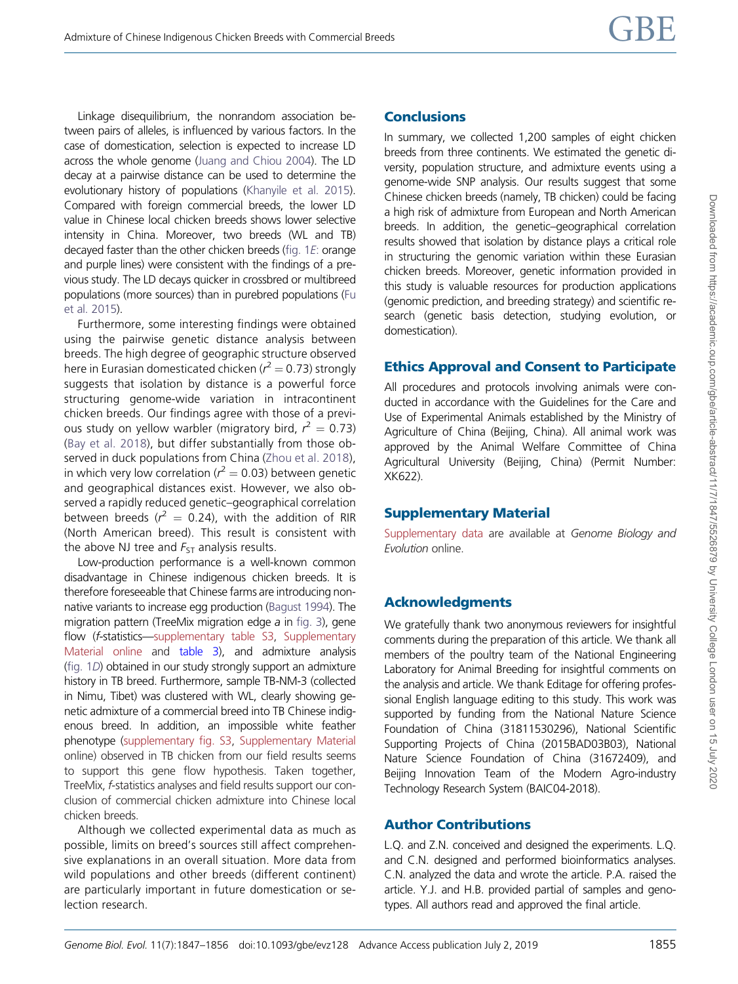Linkage disequilibrium, the nonrandom association between pairs of alleles, is influenced by various factors. In the case of domestication, selection is expected to increase LD across the whole genome [\(Juang and Chiou 2004](#page-9-0)). The LD decay at a pairwise distance can be used to determine the evolutionary history of populations ([Khanyile et al. 2015](#page-9-0)). Compared with foreign commercial breeds, the lower LD value in Chinese local chicken breeds shows lower selective intensity in China. Moreover, two breeds (WL and TB) decayed faster than the other chicken breeds [\(fig. 1](#page-3-0)E: orange and purple lines) were consistent with the findings of a previous study. The LD decays quicker in crossbred or multibreed populations (more sources) than in purebred populations [\(Fu](#page-9-0) [et al. 2015](#page-9-0)).

Furthermore, some interesting findings were obtained using the pairwise genetic distance analysis between breeds. The high degree of geographic structure observed here in Eurasian domesticated chicken ( $r^2$   $=$  0.73) strongly suggests that isolation by distance is a powerful force structuring genome-wide variation in intracontinent chicken breeds. Our findings agree with those of a previous study on yellow warbler (migratory bird,  $r^2 = 0.73$ ) ([Bay et al. 2018](#page-9-0)), but differ substantially from those observed in duck populations from China ([Zhou et al. 2018\)](#page-9-0), in which very low correlation ( $r^2 = 0.03$ ) between genetic and geographical distances exist. However, we also observed a rapidly reduced genetic–geographical correlation between breeds ( $r^2 = 0.24$ ), with the addition of RIR (North American breed). This result is consistent with the above NJ tree and  $F_{ST}$  analysis results.

Low-production performance is a well-known common disadvantage in Chinese indigenous chicken breeds. It is therefore foreseeable that Chinese farms are introducing nonnative variants to increase egg production [\(Bagust 1994\)](#page-9-0). The migration pattern (TreeMix migration edge a in [fig. 3](#page-6-0)), gene flow (f-statistics[—supplementary table S3](https://academic.oup.com/gbe/article-lookup/doi/10.1093/gbe/evz128#supplementary-data), [Supplementary](https://academic.oup.com/gbe/article-lookup/doi/10.1093/gbe/evz128#supplementary-data) [Material online](https://academic.oup.com/gbe/article-lookup/doi/10.1093/gbe/evz128#supplementary-data) and [table 3\)](#page-7-0), and admixture analysis [\(fig. 1](#page-3-0)D) obtained in our study strongly support an admixture history in TB breed. Furthermore, sample TB-NM-3 (collected in Nimu, Tibet) was clustered with WL, clearly showing genetic admixture of a commercial breed into TB Chinese indigenous breed. In addition, an impossible white feather phenotype ([supplementary fig. S3,](https://academic.oup.com/gbe/article-lookup/doi/10.1093/gbe/evz128#supplementary-data) [Supplementary Material](https://academic.oup.com/gbe/article-lookup/doi/10.1093/gbe/evz128#supplementary-data) online) observed in TB chicken from our field results seems to support this gene flow hypothesis. Taken together, TreeMix, f-statistics analyses and field results support our conclusion of commercial chicken admixture into Chinese local chicken breeds.

Although we collected experimental data as much as possible, limits on breed's sources still affect comprehensive explanations in an overall situation. More data from wild populations and other breeds (different continent) are particularly important in future domestication or selection research.

#### **Conclusions**

In summary, we collected 1,200 samples of eight chicken breeds from three continents. We estimated the genetic diversity, population structure, and admixture events using a genome-wide SNP analysis. Our results suggest that some Chinese chicken breeds (namely, TB chicken) could be facing a high risk of admixture from European and North American breeds. In addition, the genetic–geographical correlation results showed that isolation by distance plays a critical role in structuring the genomic variation within these Eurasian chicken breeds. Moreover, genetic information provided in this study is valuable resources for production applications (genomic prediction, and breeding strategy) and scientific research (genetic basis detection, studying evolution, or domestication).

### Ethics Approval and Consent to Participate

All procedures and protocols involving animals were conducted in accordance with the Guidelines for the Care and Use of Experimental Animals established by the Ministry of Agriculture of China (Beijing, China). All animal work was approved by the Animal Welfare Committee of China Agricultural University (Beijing, China) (Permit Number: XK622).

### Supplementary Material

[Supplementary data](https://academic.oup.com/gbe/article-lookup/doi/10.1093/gbe/evz128#supplementary-data) are available at Genome Biology and Evolution online.

## Acknowledgments

We gratefully thank two anonymous reviewers for insightful comments during the preparation of this article. We thank all members of the poultry team of the National Engineering Laboratory for Animal Breeding for insightful comments on the analysis and article. We thank Editage for offering professional English language editing to this study. This work was supported by funding from the National Nature Science Foundation of China (31811530296), National Scientific Supporting Projects of China (2015BAD03B03), National Nature Science Foundation of China (31672409), and Beijing Innovation Team of the Modern Agro-industry Technology Research System (BAIC04-2018).

### Author Contributions

L.Q. and Z.N. conceived and designed the experiments. L.Q. and C.N. designed and performed bioinformatics analyses. C.N. analyzed the data and wrote the article. P.A. raised the article. Y.J. and H.B. provided partial of samples and genotypes. All authors read and approved the final article.